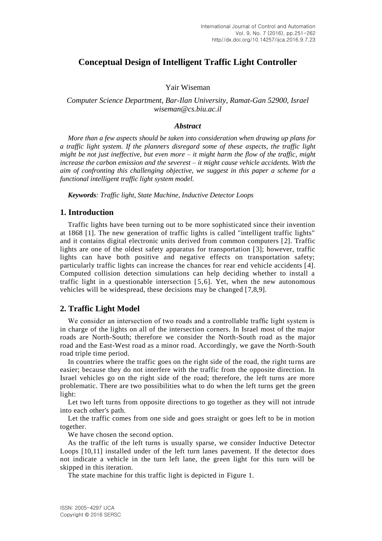# **Conceptual Design of Intelligent Traffic Light Controller**

## Yair Wiseman

## *Computer Science Department, Bar-Ilan University, Ramat-Gan 52900, Israel wiseman@cs.biu.ac.il*

### *Abstract*

*More than a few aspects should be taken into consideration when drawing up plans for a traffic light system. If the planners disregard some of these aspects, the traffic light might be not just ineffective, but even more – it might harm the flow of the traffic, might increase the carbon emission and the severest – it might cause vehicle accidents. With the aim of confronting this challenging objective, we suggest in this paper a scheme for a functional intelligent traffic light system model.*

*Keywords: Traffic light, State Machine, Inductive Detector Loops*

## **1. Introduction**

Traffic lights have been turning out to be more sophisticated since their invention at 1868 [1]. The new generation of traffic lights is called "intelligent traffic lights" and it contains digital electronic units derived from common computers [2]. Traffic lights are one of the oldest safety apparatus for transportation [3]; however, traffic lights can have both positive and negative effects on transportation safety; particularly traffic lights can increase the chances for rear end vehicle accidents [4]. Computed collision detection simulations can help deciding whether to install a traffic light in a questionable intersection  $[5,6]$ . Yet, when the new autonomous vehicles will be widespread, these decisions may be changed [7,8,9].

# **2. Traffic Light Model**

We consider an intersection of two roads and a controllable traffic light system is in charge of the lights on all of the intersection corners. In Israel most of the major roads are North-South; therefore we consider the North-South road as the major road and the East-West road as a minor road. Accordingly, we gave the North-South road triple time period.

In countries where the traffic goes on the right side of the road, the right turns are easier; because they do not interfere with the traffic from the opposite direction. In Israel vehicles go on the right side of the road; therefore, the left turns are more problematic. There are two possibilities what to do when the left turns get the green light:

Let two left turns from opposite directions to go together as they will not intrude into each other's path.

Let the traffic comes from one side and goes straight or goes left to be in motion together.

We have chosen the second option.

As the traffic of the left turns is usually sparse, we consider Inductive Detector Loops [10,11] installed under of the left turn lanes pavement. If the detector does not indicate a vehicle in the turn left lane, the green light for this turn will be skipped in this iteration.

The state machine for this traffic light is depicted in Figure 1.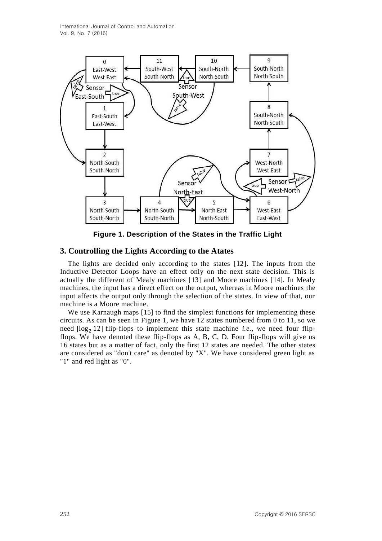

**Figure 1. Description of the States in the Traffic Light**

# **3. Controlling the Lights According to the Atates**

The lights are decided only according to the states [12]. The inputs from the Inductive Detector Loops have an effect only on the next state decision. This is actually the different of Mealy machines [13] and Moore machines [14]. In Mealy machines, the input has a direct effect on the output, whereas in Moore machines the input affects the output only through the selection of the states. In view of that, our machine is a Moore machine.

We use Karnaugh maps [15] to find the simplest functions for implementing these circuits. As can be seen in Figure 1, we have 12 states numbered from 0 to 11, so we need  $\lceil \log_2 12 \rceil$  flip-flops to implement this state machine *i.e.*, we need four flipflops. We have denoted these flip-flops as A, B, C, D. Four flip-flops will give us 16 states but as a matter of fact, only the first 12 states are needed. The other states are considered as "don't care" as denoted by "X". We have considered green light as "1" and red light as "0".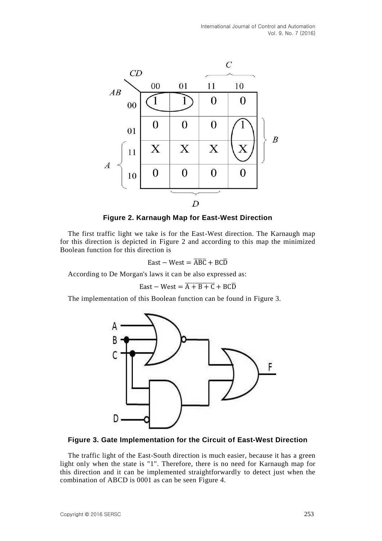

**Figure 2. Karnaugh Map for East-West Direction**

The first traffic light we take is for the East-West direction. The Karnaugh map for this direction is depicted in Figure 2 and according to this map the minimized Boolean function for this direction is

$$
East - West = \overline{AB}\overline{C} + BC\overline{D}
$$

According to De Morgan's laws it can be also expressed as:

$$
East - West = \overline{A + B + C} + BC\overline{D}
$$

The implementation of this Boolean function can be found in Figure 3.



## **Figure 3. Gate Implementation for the Circuit of East-West Direction**

The traffic light of the East-South direction is much easier, because it has a green light only when the state is "1". Therefore, there is no need for Karnaugh map for this direction and it can be implemented straightforwardly to detect just when the combination of ABCD is 0001 as can be seen Figure 4.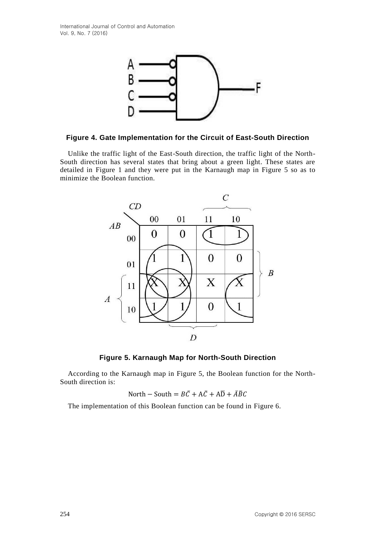

**Figure 4. Gate Implementation for the Circuit of East-South Direction**

Unlike the traffic light of the East-South direction, the traffic light of the North-South direction has several states that bring about a green light. These states are detailed in Figure 1 and they were put in the Karnaugh map in Figure 5 so as to minimize the Boolean function.



**Figure 5. Karnaugh Map for North-South Direction**

According to the Karnaugh map in Figure 5, the Boolean function for the North-South direction is:

$$
North - South = B\bar{C} + A\bar{C} + A\bar{D} + \bar{A}\bar{B}C
$$

The implementation of this Boolean function can be found in Figure 6.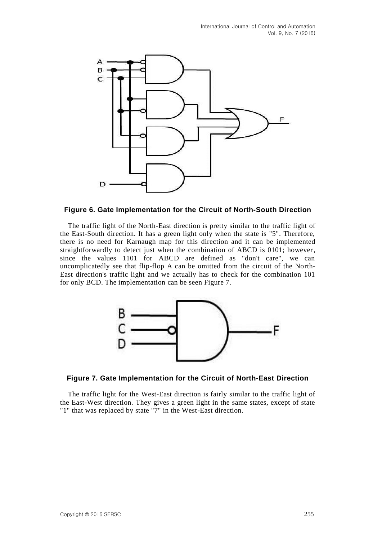

#### **Figure 6. Gate Implementation for the Circuit of North-South Direction**

The traffic light of the North-East direction is pretty similar to the traffic light of the East-South direction. It has a green light only when the state is "5". Therefore, there is no need for Karnaugh map for this direction and it can be implemented straightforwardly to detect just when the combination of ABCD is 0101; however, since the values 1101 for ABCD are defined as "don't care", we can uncomplicatedly see that flip-flop A can be omitted from the circuit of the North-East direction's traffic light and we actually has to check for the combination 101 for only BCD. The implementation can be seen Figure 7.



#### **Figure 7. Gate Implementation for the Circuit of North-East Direction**

The traffic light for the West-East direction is fairly similar to the traffic light of the East-West direction. They gives a green light in the same states, except of state "1" that was replaced by state "7" in the West-East direction.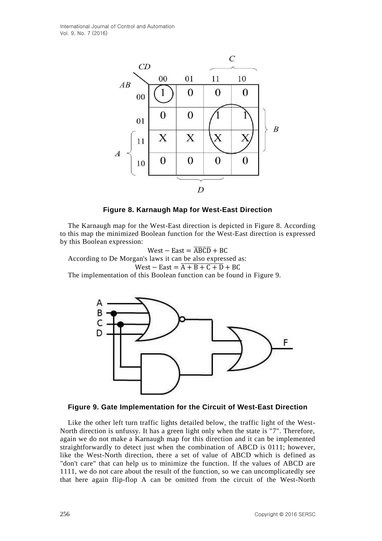

### **Figure 8. Karnaugh Map for West-East Direction**

The Karnaugh map for the West-East direction is depicted in Figure 8. According to this map the minimized Boolean function for the West-East direction is expressed by this Boolean expression:

West – East =  $\overline{ABCD}$  + BC According to De Morgan's laws it can be also expressed as: West – East =  $\overline{A + B + C + D}$  + BC

The implementation of this Boolean function can be found in Figure 9.



#### **Figure 9. Gate Implementation for the Circuit of West-East Direction**

Like the other left turn traffic lights detailed below, the traffic light of the West-North direction is unfussy. It has a green light only when the state is "7". Therefore, again we do not make a Karnaugh map for this direction and it can be implemented straightforwardly to detect just when the combination of ABCD is 0111; however, like the West-North direction, there a set of value of ABCD which is defined as "don't care" that can help us to minimize the function. If the values of ABCD are 1111, we do not care about the result of the function, so we can uncomplicatedly see that here again flip-flop A can be omitted from the circuit of the West-North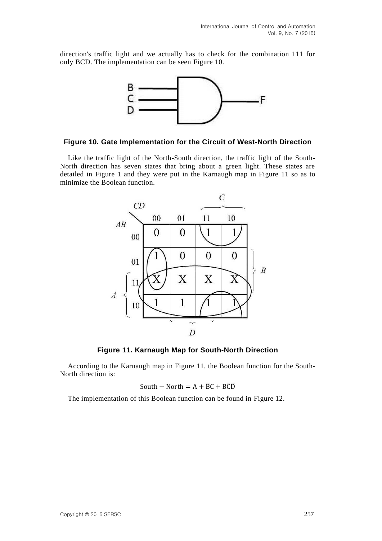direction's traffic light and we actually has to check for the combination 111 for only BCD. The implementation can be seen Figure 10.



**Figure 10. Gate Implementation for the Circuit of West-North Direction**

Like the traffic light of the North-South direction, the traffic light of the South-North direction has seven states that bring about a green light. These states are detailed in Figure 1 and they were put in the Karnaugh map in Figure 11 so as to minimize the Boolean function.



**Figure 11. Karnaugh Map for South-North Direction**

According to the Karnaugh map in Figure 11, the Boolean function for the South-North direction is:

$$
South - North = A + \overline{B}C + B\overline{C}\overline{D}
$$

The implementation of this Boolean function can be found in Figure 12.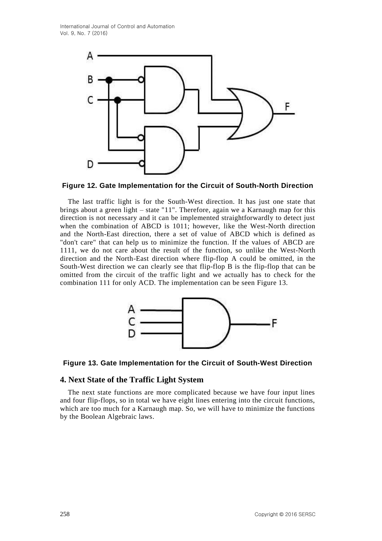

### **Figure 12. Gate Implementation for the Circuit of South-North Direction**

The last traffic light is for the South-West direction. It has just one state that brings about a green light – state "11". Therefore, again we a Karnaugh map for this direction is not necessary and it can be implemented straightforwardly to detect just when the combination of ABCD is 1011; however, like the West-North direction and the North-East direction, there a set of value of ABCD which is defined as "don't care" that can help us to minimize the function. If the values of ABCD are 1111, we do not care about the result of the function, so unlike the West-North direction and the North-East direction where flip-flop A could be omitted, in the South-West direction we can clearly see that flip-flop B is the flip-flop that can be omitted from the circuit of the traffic light and we actually has to check for the combination 111 for only ACD. The implementation can be seen Figure 13.



### **Figure 13. Gate Implementation for the Circuit of South-West Direction**

### **4. Next State of the Traffic Light System**

The next state functions are more complicated because we have four input lines and four flip-flops, so in total we have eight lines entering into the circuit functions, which are too much for a Karnaugh map. So, we will have to minimize the functions by the Boolean Algebraic laws.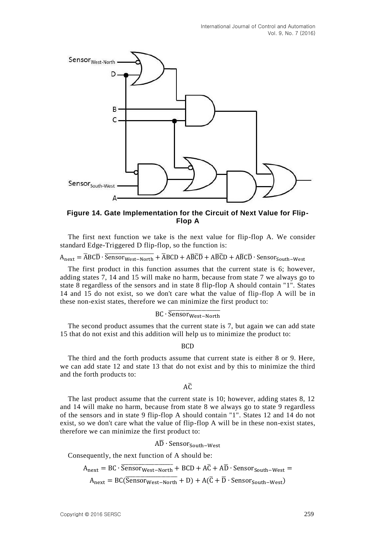

## **Figure 14. Gate Implementation for the Circuit of Next Value for Flip-Flop A**

The first next function we take is the next value for flip-flop A. We consider standard Edge-Triggered D flip-flop, so the function is:

 $A_{\text{next}} = \overline{A}BC\overline{D} \cdot \overline{Sensor_{\text{West}-\text{North}}} + \overline{A}BCD + A\overline{B}\overline{C}\overline{D} + A\overline{B}\overline{C}\overline{D} + A\overline{B}\overline{C}\overline{D} \cdot$ Sensor<sub>South</sub>–<sub>West</sub>

The first product in this function assumes that the current state is 6; however, adding states 7, 14 and 15 will make no harm, because from state 7 we always go to state 8 regardless of the sensors and in state 8 flip-flop A should contain "1". States 14 and 15 do not exist, so we don't care what the value of flip-flop A will be in these non-exist states, therefore we can minimize the first product to:

## BC ⋅ Sensor<sub>West-North</sub>

The second product assumes that the current state is 7, but again we can add state 15 that do not exist and this addition will help us to minimize the product to:

#### BCD

The third and the forth products assume that current state is either 8 or 9. Here, we can add state 12 and state 13 that do not exist and by this to minimize the third and the forth products to:

#### $A\overline{C}$

The last product assume that the current state is 10; however, adding states 8, 12 and 14 will make no harm, because from state 8 we always go to state 9 regardless of the sensors and in state 9 flip-flop A should contain "1". States 12 and 14 do not exist, so we don't care what the value of flip-flop A will be in these non-exist states, therefore we can minimize the first product to:

# AD · Sensor<sub>South</sub>-West

Consequently, the next function of A should be:

$$
A_{\text{next}} = BC \cdot \overline{Sensor_{\text{West-North}}} + BCD + A\overline{C} + A\overline{D} \cdot Sensor_{\text{South-West}} =
$$
  

$$
A_{\text{next}} = BC(\overline{Sensor_{\text{West-North}}} + D) + A(\overline{C} + \overline{D} \cdot Sensor_{\text{South-West}})
$$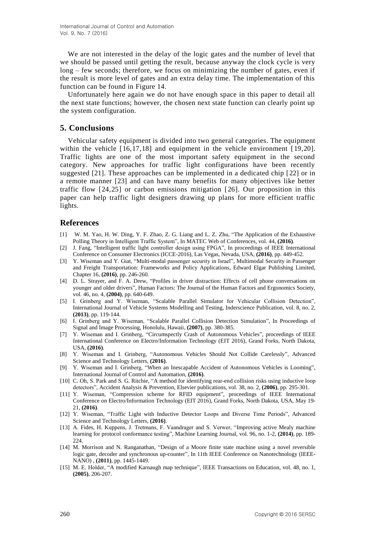We are not interested in the delay of the logic gates and the number of level that we should be passed until getting the result, because anyway the clock cycle is very long – few seconds; therefore, we focus on minimizing the number of gates, even if the result is more level of gates and an extra delay time. The implementation of this function can be found in Figure 14.

Unfortunately here again we do not have enough space in this paper to detail all the next state functions; however, the chosen next state function can clearly point up the system configuration.

## **5. Conclusions**

Vehicular safety equipment is divided into two general categories. The equipment within the vehicle [16,17,18] and equipment in the vehicle environment [19,20]. Traffic lights are one of the most important safety equipment in the second category. New approaches for traffic light configurations have been recently suggested [21]. These approaches can be implemented in a dedicated chip [22] or in a remote manner [23] and can have many benefits for many objectives like better traffic flow [24,25] or carbon emissions mitigation [26]. Our proposition in this paper can help traffic light designers drawing up plans for more efficient traffic lights.

#### **References**

- [1] W. M. Yao, H. W. Ding, Y. F. Zhao, Z. G. Liang and L. Z. Zhu, "The Application of the Exhaustive Polling Theory in Intelligent Traffic System", In MATEC Web of Conferences, vol. 44, **(2016)**.
- [2] J. Fang, "Intelligent traffic light controller design using FPGA", In proceedings of IEEE International Conference on Consumer Electronics (ICCE-2016), Las Vegas, Nevada, USA, **(2016)**, pp. 449-452.
- [3] Y. Wiseman and Y. Giat, "Multi-modal passenger security in Israel", Multimodal Security in Passenger and Freight Transportation: Frameworks and Policy Applications, Edward Elgar Publishing Limited, Chapter 16, **(2016)**, pp. 246-260.
- [4] D. L. Strayer, and F. A. Drew, "Profiles in driver distraction: Effects of cell phone conversations on younger and older drivers", Human Factors: The Journal of the Human Factors and Ergonomics Society, vol. 46, no. 4, **(2004)**, pp. 640-649.
- [5] I. Grinberg and Y. Wiseman, "Scalable Parallel Simulator for Vehicular Collision Detection", International Journal of Vehicle Systems Modelling and Testing, Inderscience Publication, vol. 8, no. 2, **(2013)**, pp. 119-144.
- [6] I. Grinberg and Y. Wiseman, "Scalable Parallel Collision Detection Simulation", In Proceedings of Signal and Image Processing, Honolulu, Hawaii, **(2007)**, pp. 380-385.
- [7] Y. Wiseman and I. Grinberg, "Circumspectly Crash of Autonomous Vehicles", proceedings of IEEE International Conference on Electro/Information Technology (EIT 2016), Grand Forks, North Dakota, USA, **(2016)**.
- [8] Y. Wiseman and I. Grinberg, "Autonomous Vehicles Should Not Collide Carelessly", Advanced Science and Technology Letters, **(2016)**.
- [9] Y. Wiseman and I. Grinberg, "When an Inescapable Accident of Autonomous Vehicles is Looming", International Journal of Control and Automation, **(2016)**.
- [10] C. Oh, S. Park and S. G. Ritchie, "A method for identifying rear-end collision risks using inductive loop detectors", Accident Analysis & Prevention, Elsevier publications, vol. 38, no. 2, **(2006)**, pp. 295-301.
- [11] Y. Wiseman, "Compression scheme for RFID equipment", proceedings of IEEE International Conference on Electro/Information Technology (EIT 2016), Grand Forks, North Dakota, USA, May 19- 21, **(2016)**.
- [12] Y. Wiseman, "Traffic Light with Inductive Detector Loops and Diverse Time Periods", Advanced Science and Technology Letters, **(2016)**.
- [13] A. Fides, H. Kuppens, J. Tretmans, F. Vaandrager and S. Verwer, "Improving active Mealy machine learning for protocol conformance testing", Machine Learning Journal, vol. 96, no. 1-2, **(2014)**, pp. 189- 224.
- [14] M. Morrison and N. Ranganathan, "Design of a Moore finite state machine using a novel reversible logic gate, decoder and synchronous up-counter", In 11th IEEE Conference on Nanotechnology (IEEE-NANO) , **(2011)**, pp. 1445-1449.
- [15] M. E. Holder, "A modified Karnaugh map technique", IEEE Transactions on Education, vol. 48, no. 1, **(2005)**, 206-207.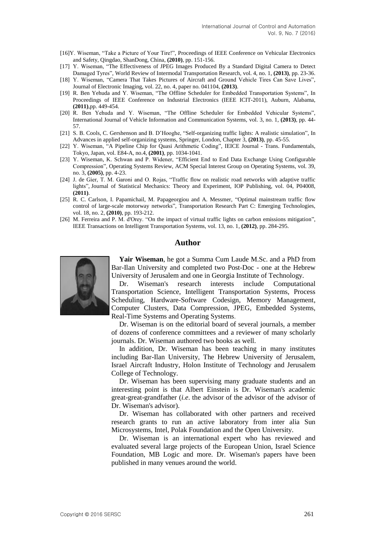- [16]Y. Wiseman, "Take a Picture of Your Tire!", Proceedings of IEEE Conference on Vehicular Electronics and Safety, Qingdao, ShanDong, China, **(2010)**, pp. 151-156.
- [17] Y. Wiseman, "The Effectiveness of JPEG Images Produced By a Standard Digital Camera to Detect Damaged Tyres", World Review of Intermodal Transportation Research, vol. 4, no. 1, **(2013)**, pp. 23-36.
- [18] Y. Wiseman, "Camera That Takes Pictures of Aircraft and Ground Vehicle Tires Can Save Lives", Journal of Electronic Imaging, vol. 22, no. 4, paper no. 041104, **(2013)**.
- [19] R. Ben Yehuda and Y. Wiseman, "The Offline Scheduler for Embedded Transportation Systems", In Proceedings of IEEE Conference on Industrial Electronics (IEEE ICIT-2011), Auburn, Alabama, **(2011)**,pp. 449-454.
- [20] R. Ben Yehuda and Y. Wiseman, "The Offline Scheduler for Embedded Vehicular Systems", International Journal of Vehicle Information and Communication Systems, vol. 3, no. 1, **(2013)**, pp. 44- 57.
- [21] S. B. Cools, C. Gershenson and B. D'Hooghe, "Self-organizing traffic lights: A realistic simulation", In Advances in applied self-organizing systems, Springer, London, Chapter 3, **(2013)**, pp. 45-55.
- [22] Y. Wiseman, "A Pipeline Chip for Quasi Arithmetic Coding", IEICE Journal Trans. Fundamentals, Tokyo, Japan, vol. E84-A, no.4, **(2001)**, pp. 1034-1041.
- [23] Y. Wiseman, K. Schwan and P. Widener, "Efficient End to End Data Exchange Using Configurable Compression", Operating Systems Review, ACM Special Interest Group on Operating Systems, vol. 39, no. 3, **(2005)**, pp. 4-23.
- [24] J. de Gier, T. M. Garoni and O. Rojas, "Traffic flow on realistic road networks with adaptive traffic lights", Journal of Statistical Mechanics: Theory and Experiment, IOP Publishing, vol. 04, P04008, **(2011)**.
- [25] R. C. Carlson, I. Papamichail, M. Papageorgiou and A. Messmer, "Optimal mainstream traffic flow control of large-scale motorway networks", Transportation Research Part C: Emerging Technologies, vol. 18, no. 2, **(2010)**, pp. 193-212.
- [26] M. Ferreira and P. M. d'Orey. "On the impact of virtual traffic lights on carbon emissions mitigation", IEEE Transactions on Intelligent Transportation Systems, vol. 13, no. 1, **(2012)**, pp. 284-295.

#### **Author**



**Yair Wiseman**, he got a Summa Cum Laude M.Sc. and a PhD from Bar-Ilan University and completed two Post-Doc - one at the Hebrew University of Jerusalem and one in Georgia Institute of Technology.

Dr. Wiseman's research interests include Computational Transportation Science, Intelligent Transportation Systems, Process Scheduling, Hardware-Software Codesign, Memory Management, Computer Clusters, Data Compression, JPEG, Embedded Systems, Real-Time Systems and Operating Systems.

Dr. Wiseman is on the editorial board of several journals, a member of dozens of conference committees and a reviewer of many scholarly journals. Dr. Wiseman authored two books as well.

In addition, Dr. Wiseman has been teaching in many institutes including Bar-Ilan University, The Hebrew University of Jerusalem, Israel Aircraft Industry, Holon Institute of Technology and Jerusalem College of Technology.

Dr. Wiseman has been supervising many graduate students and an interesting point is that Albert Einstein is Dr. Wiseman's academic great-great-grandfather (*i.e*. the advisor of the advisor of the advisor of Dr. Wiseman's advisor).

Dr. Wiseman has collaborated with other partners and received research grants to run an active laboratory from inter alia Sun Microsystems, Intel, Polak Foundation and the Open University.

Dr. Wiseman is an international expert who has reviewed and evaluated several large projects of the European Union, Israel Science Foundation, MB Logic and more. Dr. Wiseman's papers have been published in many venues around the world.